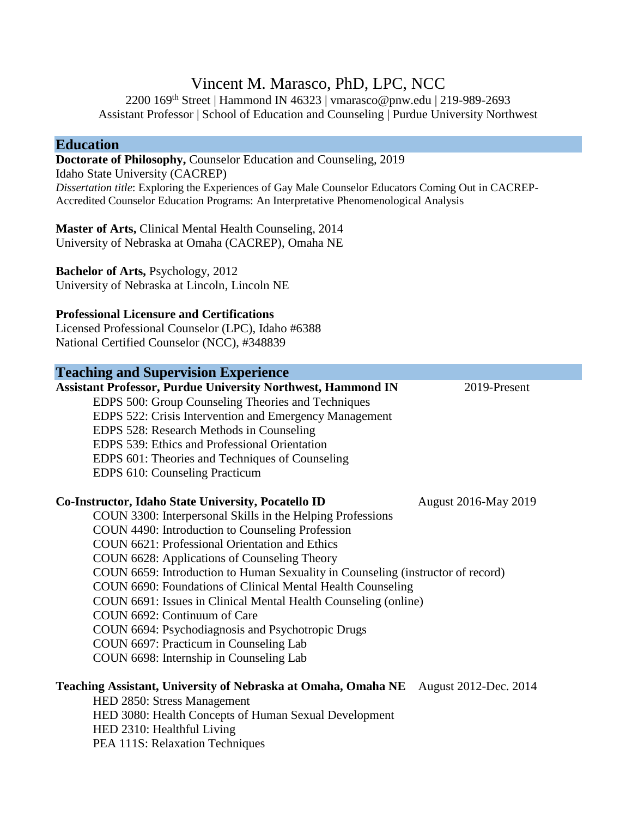# Vincent M. Marasco, PhD, LPC, NCC

2200 169th Street | Hammond IN 46323 | vmarasco@pnw.edu | 219-989-2693 Assistant Professor | School of Education and Counseling | Purdue University Northwest

### **Education**

**Doctorate of Philosophy,** Counselor Education and Counseling, 2019 Idaho State University (CACREP) *Dissertation title*: Exploring the Experiences of Gay Male Counselor Educators Coming Out in CACREP-Accredited Counselor Education Programs: An Interpretative Phenomenological Analysis

**Master of Arts,** Clinical Mental Health Counseling, 2014 University of Nebraska at Omaha (CACREP), Omaha NE

**Bachelor of Arts,** Psychology, 2012 University of Nebraska at Lincoln, Lincoln NE

#### **Professional Licensure and Certifications**

Licensed Professional Counselor (LPC), Idaho #6388 National Certified Counselor (NCC), #348839

# **Teaching and Supervision Experience Assistant Professor, Purdue University Northwest, Hammond IN** 2019-Present EDPS 500: Group Counseling Theories and Techniques EDPS 522: Crisis Intervention and Emergency Management EDPS 528: Research Methods in Counseling EDPS 539: Ethics and Professional Orientation EDPS 601: Theories and Techniques of Counseling EDPS 610: Counseling Practicum

#### **Co-Instructor, Idaho State University, Pocatello ID** August 2016-May 2019

COUN 3300: Interpersonal Skills in the Helping Professions COUN 4490: Introduction to Counseling Profession COUN 6621: Professional Orientation and Ethics COUN 6628: Applications of Counseling Theory COUN 6659: Introduction to Human Sexuality in Counseling (instructor of record) COUN 6690: Foundations of Clinical Mental Health Counseling COUN 6691: Issues in Clinical Mental Health Counseling (online) COUN 6692: Continuum of Care COUN 6694: Psychodiagnosis and Psychotropic Drugs COUN 6697: Practicum in Counseling Lab COUN 6698: Internship in Counseling Lab

#### **Teaching Assistant, University of Nebraska at Omaha, Omaha NE** August 2012-Dec. 2014

HED 2850: Stress Management HED 3080: Health Concepts of Human Sexual Development HED 2310: Healthful Living PEA 111S: Relaxation Techniques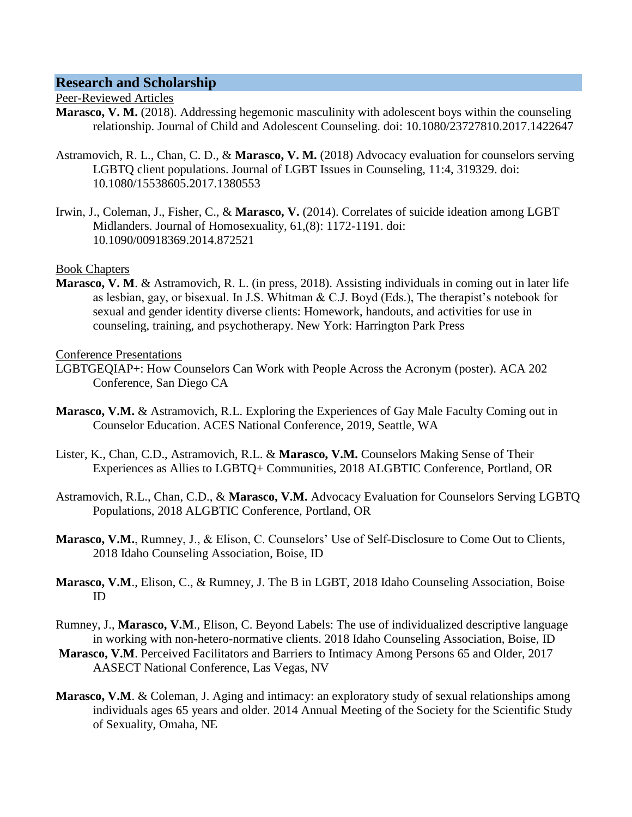### **Research and Scholarship**

#### Peer-Reviewed Articles

- **Marasco, V. M.** (2018). Addressing hegemonic masculinity with adolescent boys within the counseling relationship. Journal of Child and Adolescent Counseling. doi: 10.1080/23727810.2017.1422647
- Astramovich, R. L., Chan, C. D., & **Marasco, V. M.** (2018) Advocacy evaluation for counselors serving LGBTQ client populations. Journal of LGBT Issues in Counseling, 11:4, 319329. doi: 10.1080/15538605.2017.1380553
- Irwin, J., Coleman, J., Fisher, C., & **Marasco, V.** (2014). Correlates of suicide ideation among LGBT Midlanders. Journal of Homosexuality, 61,(8): 1172-1191. doi: 10.1090/00918369.2014.872521

### Book Chapters

**Marasco, V. M**. & Astramovich, R. L. (in press, 2018). Assisting individuals in coming out in later life as lesbian, gay, or bisexual. In J.S. Whitman & C.J. Boyd (Eds.), The therapist's notebook for sexual and gender identity diverse clients: Homework, handouts, and activities for use in counseling, training, and psychotherapy. New York: Harrington Park Press

#### Conference Presentations

- LGBTGEQIAP+: How Counselors Can Work with People Across the Acronym (poster). ACA 202 Conference, San Diego CA
- **Marasco, V.M.** & Astramovich, R.L. Exploring the Experiences of Gay Male Faculty Coming out in Counselor Education. ACES National Conference, 2019, Seattle, WA
- Lister, K., Chan, C.D., Astramovich, R.L. & **Marasco, V.M.** Counselors Making Sense of Their Experiences as Allies to LGBTQ+ Communities, 2018 ALGBTIC Conference, Portland, OR
- Astramovich, R.L., Chan, C.D., & **Marasco, V.M.** Advocacy Evaluation for Counselors Serving LGBTQ Populations, 2018 ALGBTIC Conference, Portland, OR
- **Marasco, V.M.**, Rumney, J., & Elison, C. Counselors' Use of Self-Disclosure to Come Out to Clients, 2018 Idaho Counseling Association, Boise, ID
- **Marasco, V.M**., Elison, C., & Rumney, J. The B in LGBT, 2018 Idaho Counseling Association, Boise ID
- Rumney, J., **Marasco, V.M**., Elison, C. Beyond Labels: The use of individualized descriptive language in working with non-hetero-normative clients. 2018 Idaho Counseling Association, Boise, ID
- **Marasco, V.M**. Perceived Facilitators and Barriers to Intimacy Among Persons 65 and Older, 2017 AASECT National Conference, Las Vegas, NV
- **Marasco, V.M.** & Coleman, J. Aging and intimacy: an exploratory study of sexual relationships among individuals ages 65 years and older. 2014 Annual Meeting of the Society for the Scientific Study of Sexuality, Omaha, NE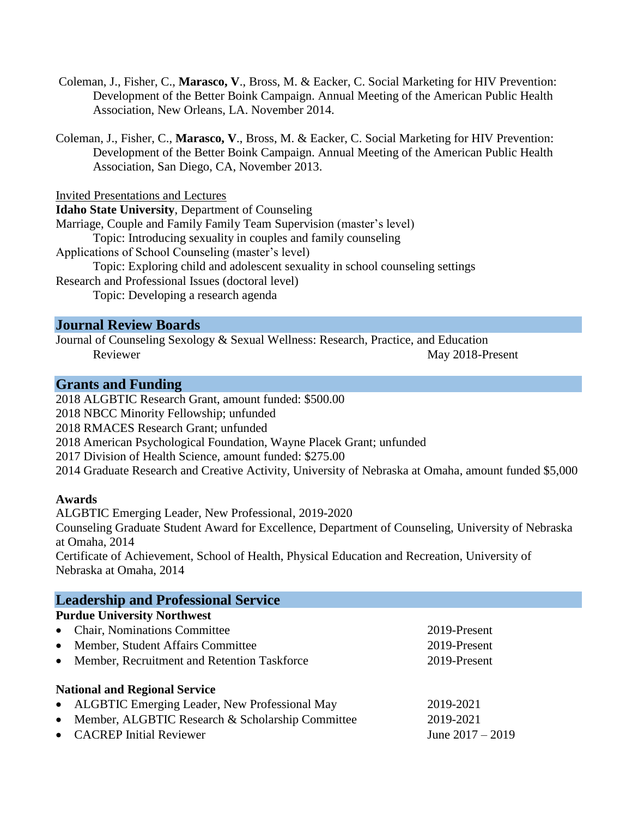- Coleman, J., Fisher, C., **Marasco, V**., Bross, M. & Eacker, C. Social Marketing for HIV Prevention: Development of the Better Boink Campaign. Annual Meeting of the American Public Health Association, New Orleans, LA. November 2014.
- Coleman, J., Fisher, C., **Marasco, V**., Bross, M. & Eacker, C. Social Marketing for HIV Prevention: Development of the Better Boink Campaign. Annual Meeting of the American Public Health Association, San Diego, CA, November 2013.

Invited Presentations and Lectures

**Idaho State University**, Department of Counseling Marriage, Couple and Family Family Team Supervision (master's level) Topic: Introducing sexuality in couples and family counseling Applications of School Counseling (master's level) Topic: Exploring child and adolescent sexuality in school counseling settings Research and Professional Issues (doctoral level)

Topic: Developing a research agenda

## **Journal Review Boards**

Journal of Counseling Sexology & Sexual Wellness: Research, Practice, and Education Reviewer May 2018-Present

# **Grants and Funding**

2018 ALGBTIC Research Grant, amount funded: \$500.00

- 2018 NBCC Minority Fellowship; unfunded
- 2018 RMACES Research Grant; unfunded
- 2018 American Psychological Foundation, Wayne Placek Grant; unfunded
- 2017 Division of Health Science, amount funded: \$275.00
- 2014 Graduate Research and Creative Activity, University of Nebraska at Omaha, amount funded \$5,000

### **Awards**

ALGBTIC Emerging Leader, New Professional, 2019-2020

Counseling Graduate Student Award for Excellence, Department of Counseling, University of Nebraska at Omaha, 2014

Certificate of Achievement, School of Health, Physical Education and Recreation, University of Nebraska at Omaha, 2014

| <b>Leadership and Professional Service</b>         |                    |
|----------------------------------------------------|--------------------|
| <b>Purdue University Northwest</b>                 |                    |
| • Chair, Nominations Committee                     | 2019-Present       |
| • Member, Student Affairs Committee                | 2019-Present       |
| • Member, Recruitment and Retention Taskforce      | 2019-Present       |
| <b>National and Regional Service</b>               |                    |
| • ALGBTIC Emerging Leader, New Professional May    | 2019-2021          |
| • Member, ALGBTIC Research & Scholarship Committee | 2019-2021          |
| • CACREP Initial Reviewer                          | June $2017 - 2019$ |